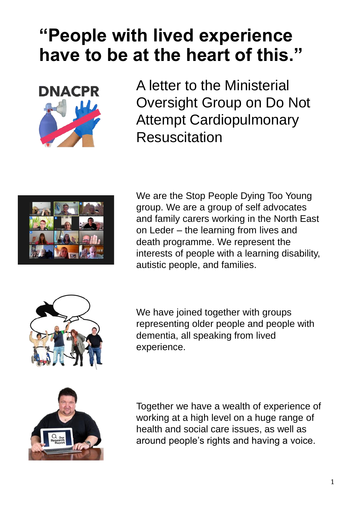## **"People with lived experience have to be at the heart of this."**



A letter to the Ministerial Oversight Group on Do Not Attempt Cardiopulmonary **Resuscitation** 



We are the Stop People Dying Too Young group. We are a group of self advocates and family carers working in the North East on Leder – the learning from lives and death programme. We represent the interests of people with a learning disability, autistic people, and families.



We have joined together with groups representing older people and people with dementia, all speaking from lived experience.



Together we have a wealth of experience of working at a high level on a huge range of health and social care issues, as well as around people's rights and having a voice.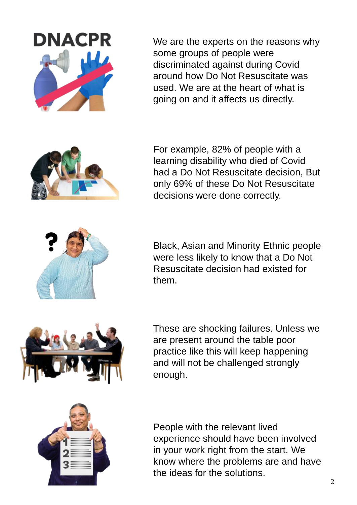We are the experts on the reasons why some groups of people were discriminated against during Covid around how Do Not Resuscitate was used. We are at the heart of what is going on and it affects us directly.

For example, 82% of people with a learning disability who died of Covid had a Do Not Resuscitate decision, But only 69% of these Do Not Resuscitate decisions were done correctly.

Black, Asian and Minority Ethnic people were less likely to know that a Do Not Resuscitate decision had existed for them.

These are shocking failures. Unless we are present around the table poor practice like this will keep happening and will not be challenged strongly enough.

People with the relevant lived experience should have been involved in your work right from the start. We know where the problems are and have the ideas for the solutions.







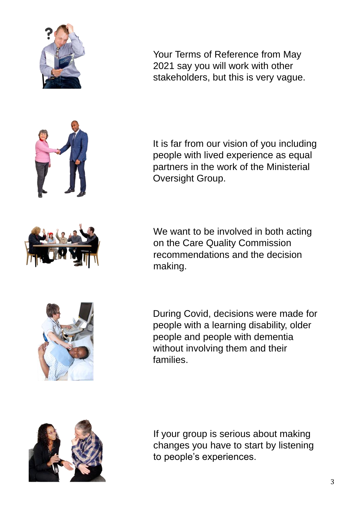

Your Terms of Reference from May 2021 say you will work with other stakeholders, but this is very vague.

It is far from our vision of you including people with lived experience as equal partners in the work of the Ministerial Oversight Group.

We want to be involved in both acting on the Care Quality Commission recommendations and the decision making.





If your group is serious about making changes you have to start by listening to people's experiences.



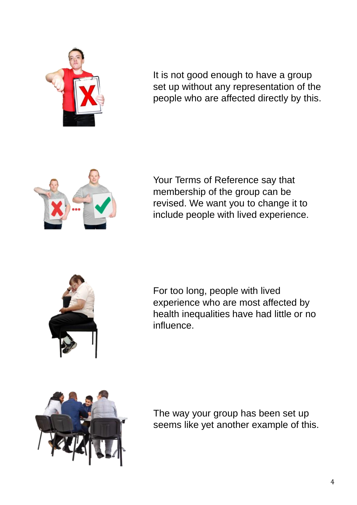

It is not good enough to have a group set up without any representation of the people who are affected directly by this.



Your Terms of Reference say that membership of the group can be revised. We want you to change it to include people with lived experience.



For too long, people with lived experience who are most affected by health inequalities have had little or no influence.



The way your group has been set up seems like yet another example of this.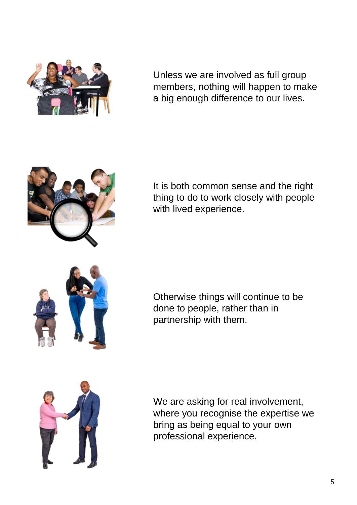

Unless we are involved as full group members, nothing will happen to make a big enough difference to our lives.



It is both common sense and the right thing to do to work closely with people with lived experience.



Otherwise things will continue to be done to people, rather than in partnership with them.



We are asking for real involvement, where you recognise the expertise we bring as being equal to your own professional experience.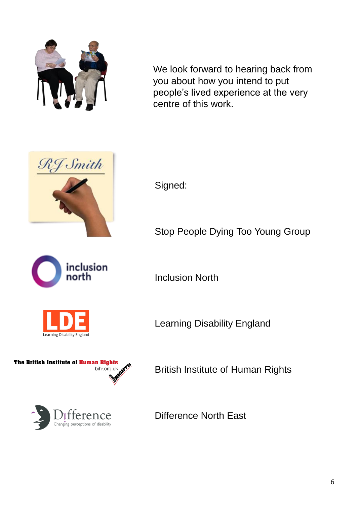

We look forward to hearing back from you about how you intend to put people's lived experience at the very centre of this work.



inclusion north

Signed:

Stop People Dying Too Young Group

Inclusion North

Learning Disability England





Learning Disability England

British Institute of Human Rights

Difference North East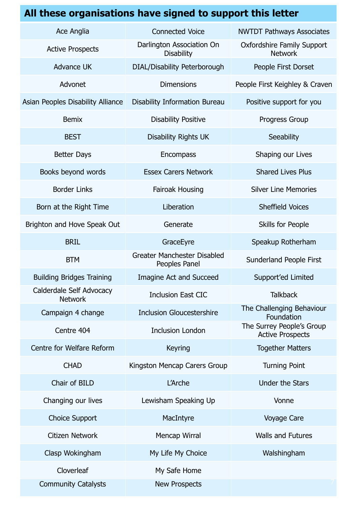| All these organisations have signed to support this letter |                                                     |                                                      |
|------------------------------------------------------------|-----------------------------------------------------|------------------------------------------------------|
| Ace Anglia                                                 | <b>Connected Voice</b>                              | <b>NWTDT Pathways Associates</b>                     |
| <b>Active Prospects</b>                                    | Darlington Association On<br><b>Disability</b>      | <b>Oxfordshire Family Support</b><br><b>Network</b>  |
| <b>Advance UK</b>                                          | DIAL/Disability Peterborough                        | People First Dorset                                  |
| Advonet                                                    | <b>Dimensions</b>                                   | People First Keighley & Craven                       |
| Asian Peoples Disability Alliance                          | <b>Disability Information Bureau</b>                | Positive support for you                             |
| <b>Bemix</b>                                               | <b>Disability Positive</b>                          | Progress Group                                       |
| <b>BEST</b>                                                | <b>Disability Rights UK</b>                         | Seeability                                           |
| <b>Better Days</b>                                         | <b>Encompass</b>                                    | Shaping our Lives                                    |
| Books beyond words                                         | <b>Essex Carers Network</b>                         | <b>Shared Lives Plus</b>                             |
| <b>Border Links</b>                                        | Fairoak Housing                                     | <b>Silver Line Memories</b>                          |
| Born at the Right Time                                     | Liberation                                          | <b>Sheffield Voices</b>                              |
| Brighton and Hove Speak Out                                | Generate                                            | Skills for People                                    |
| <b>BRIL</b>                                                | GraceEyre                                           | Speakup Rotherham                                    |
| <b>BTM</b>                                                 | <b>Greater Manchester Disabled</b><br>Peoples Panel | Sunderland People First                              |
| <b>Building Bridges Training</b>                           | <b>Imagine Act and Succeed</b>                      | Support'ed Limited                                   |
| Calderdale Self Advocacy<br><b>Network</b>                 | <b>Inclusion East CIC</b>                           | <b>Talkback</b>                                      |
| Campaign 4 change                                          | <b>Inclusion Gloucestershire</b>                    | The Challenging Behaviour<br>Foundation              |
| Centre 404                                                 | <b>Inclusion London</b>                             | The Surrey People's Group<br><b>Active Prospects</b> |
| Centre for Welfare Reform                                  | <b>Keyring</b>                                      | <b>Together Matters</b>                              |
| <b>CHAD</b>                                                | Kingston Mencap Carers Group                        | <b>Turning Point</b>                                 |
| Chair of BILD                                              | L'Arche                                             | <b>Under the Stars</b>                               |
| Changing our lives                                         | Lewisham Speaking Up                                | Vonne                                                |
| <b>Choice Support</b>                                      | MacIntyre                                           | Voyage Care                                          |
| Citizen Network                                            | Mencap Wirral                                       | <b>Walls and Futures</b>                             |
| Clasp Wokingham                                            | My Life My Choice                                   | Walshingham                                          |
| Cloverleaf                                                 | My Safe Home                                        |                                                      |
| <b>Community Catalysts</b>                                 | <b>New Prospects</b>                                |                                                      |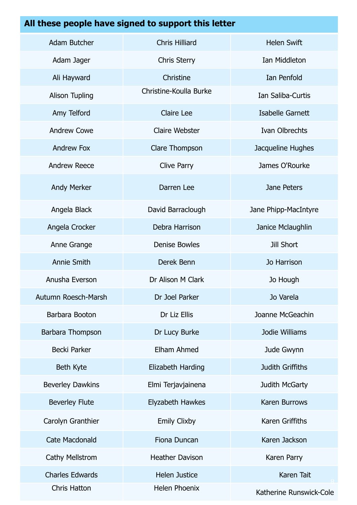## **All these people have signed to support this letter**

| <b>Adam Butcher</b>     | <b>Chris Hilliard</b>  | <b>Helen Swift</b>      |
|-------------------------|------------------------|-------------------------|
| Adam Jager              | <b>Chris Sterry</b>    | Ian Middleton           |
| Ali Hayward             | Christine              | Ian Penfold             |
| <b>Alison Tupling</b>   | Christine-Koulla Burke | Ian Saliba-Curtis       |
| Amy Telford             | <b>Claire Lee</b>      | Isabelle Garnett        |
| <b>Andrew Cowe</b>      | <b>Claire Webster</b>  | Ivan Olbrechts          |
| <b>Andrew Fox</b>       | Clare Thompson         | Jacqueline Hughes       |
| <b>Andrew Reece</b>     | <b>Clive Parry</b>     | James O'Rourke          |
| <b>Andy Merker</b>      | Darren Lee             | Jane Peters             |
| Angela Black            | David Barraclough      | Jane Phipp-MacIntyre    |
| Angela Crocker          | Debra Harrison         | Janice Mclaughlin       |
| Anne Grange             | <b>Denise Bowles</b>   | <b>Jill Short</b>       |
| <b>Annie Smith</b>      | Derek Benn             | Jo Harrison             |
| Anusha Everson          | Dr Alison M Clark      | Jo Hough                |
| Autumn Roesch-Marsh     | Dr Joel Parker         | Jo Varela               |
| Barbara Booton          | Dr Liz Ellis           | Joanne McGeachin        |
| Barbara Thompson        | Dr Lucy Burke          | Jodie Williams          |
| <b>Becki Parker</b>     | Elham Ahmed            | Jude Gwynn              |
| Beth Kyte               | Elizabeth Harding      | Judith Griffiths        |
| <b>Beverley Dawkins</b> | Elmi Terjavjainena     | Judith McGarty          |
| <b>Beverley Flute</b>   | Elyzabeth Hawkes       | Karen Burrows           |
| Carolyn Granthier       | <b>Emily Clixby</b>    | Karen Griffiths         |
| <b>Cate Macdonald</b>   | Fiona Duncan           | Karen Jackson           |
| Cathy Mellstrom         | <b>Heather Davison</b> | Karen Parry             |
| <b>Charles Edwards</b>  | <b>Helen Justice</b>   | Karen Tait              |
| Chris Hatton            | <b>Helen Phoenix</b>   | Katherine Runswick-Cole |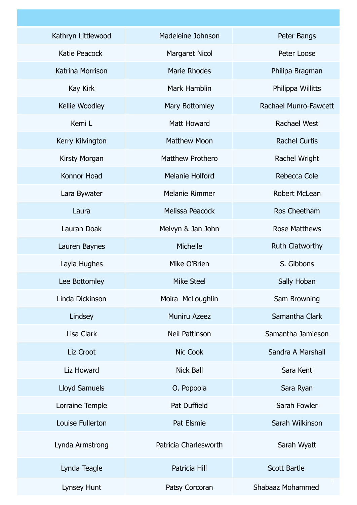| Kathryn Littlewood   | Madeleine Johnson      | Peter Bangs            |
|----------------------|------------------------|------------------------|
| Katie Peacock        | <b>Margaret Nicol</b>  | Peter Loose            |
| Katrina Morrison     | <b>Marie Rhodes</b>    | Philipa Bragman        |
| Kay Kirk             | Mark Hamblin           | Philippa Willitts      |
| Kellie Woodley       | Mary Bottomley         | Rachael Munro-Fawcett  |
| Kemi L               | <b>Matt Howard</b>     | <b>Rachael West</b>    |
| Kerry Kilvington     | <b>Matthew Moon</b>    | <b>Rachel Curtis</b>   |
| Kirsty Morgan        | Matthew Prothero       | Rachel Wright          |
| Konnor Hoad          | <b>Melanie Holford</b> | Rebecca Cole           |
| Lara Bywater         | Melanie Rimmer         | <b>Robert McLean</b>   |
| Laura                | <b>Melissa Peacock</b> | Ros Cheetham           |
| Lauran Doak          | Melvyn & Jan John      | <b>Rose Matthews</b>   |
| Lauren Baynes        | Michelle               | <b>Ruth Clatworthy</b> |
| Layla Hughes         | Mike O'Brien           | S. Gibbons             |
| Lee Bottomley        | <b>Mike Steel</b>      | Sally Hoban            |
| Linda Dickinson      | Moira McLoughlin       | Sam Browning           |
| Lindsey              | <b>Muniru Azeez</b>    | Samantha Clark         |
| Lisa Clark           | <b>Neil Pattinson</b>  | Samantha Jamieson      |
| Liz Croot            | Nic Cook               | Sandra A Marshall      |
| Liz Howard           | <b>Nick Ball</b>       | Sara Kent              |
| <b>Lloyd Samuels</b> | O. Popoola             | Sara Ryan              |
| Lorraine Temple      | Pat Duffield           | Sarah Fowler           |
| Louise Fullerton     | Pat Elsmie             | Sarah Wilkinson        |
| Lynda Armstrong      | Patricia Charlesworth  | Sarah Wyatt            |
| Lynda Teagle         | Patricia Hill          | <b>Scott Bartle</b>    |
| Lynsey Hunt          | Patsy Corcoran         | Shabaaz Mohammed       |